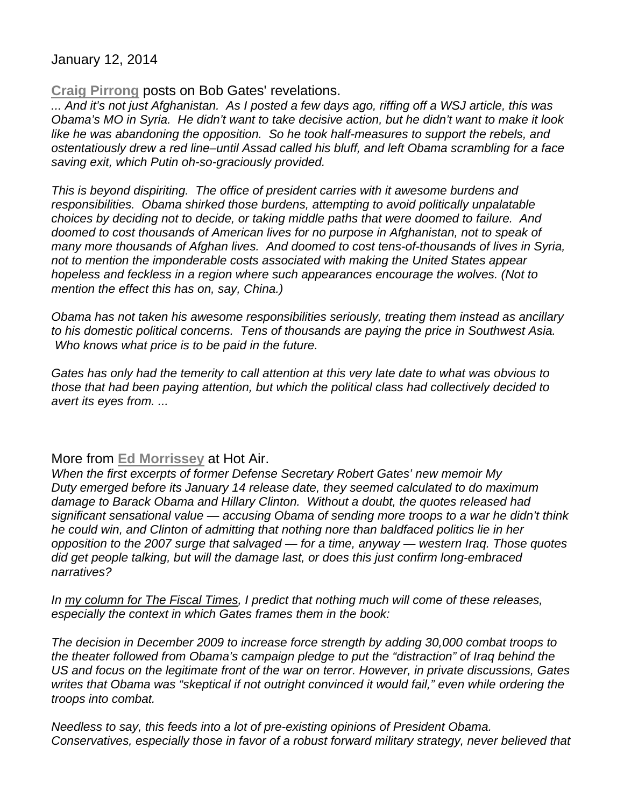## January 12, 2014

### **Craig Pirrong** posts on Bob Gates' revelations.

*... And it's not just Afghanistan. As I posted a few days ago, riffing off a WSJ article, this was Obama's MO in Syria. He didn't want to take decisive action, but he didn't want to make it look*  like he was abandoning the opposition. So he took half-measures to support the rebels, and *ostentatiously drew a red line–until Assad called his bluff, and left Obama scrambling for a face saving exit, which Putin oh-so-graciously provided.*

*This is beyond dispiriting. The office of president carries with it awesome burdens and responsibilities. Obama shirked those burdens, attempting to avoid politically unpalatable choices by deciding not to decide, or taking middle paths that were doomed to failure. And doomed to cost thousands of American lives for no purpose in Afghanistan, not to speak of many more thousands of Afghan lives. And doomed to cost tens-of-thousands of lives in Syria, not to mention the imponderable costs associated with making the United States appear hopeless and feckless in a region where such appearances encourage the wolves. (Not to mention the effect this has on, say, China.)*

*Obama has not taken his awesome responsibilities seriously, treating them instead as ancillary to his domestic political concerns. Tens of thousands are paying the price in Southwest Asia. Who knows what price is to be paid in the future.*

*Gates has only had the temerity to call attention at this very late date to what was obvious to those that had been paying attention, but which the political class had collectively decided to avert its eyes from. ...*

### More from **Ed Morrissey** at Hot Air.

*When the first excerpts of former Defense Secretary Robert Gates' new memoir My Duty emerged before its January 14 release date, they seemed calculated to do maximum damage to Barack Obama and Hillary Clinton. Without a doubt, the quotes released had significant sensational value — accusing Obama of sending more troops to a war he didn't think he could win, and Clinton of admitting that nothing nore than baldfaced politics lie in her opposition to the 2007 surge that salvaged — for a time, anyway — western Iraq. Those quotes did get people talking, but will the damage last, or does this just confirm long-embraced narratives?*

*In my column for The Fiscal Times, I predict that nothing much will come of these releases, especially the context in which Gates frames them in the book:*

*The decision in December 2009 to increase force strength by adding 30,000 combat troops to the theater followed from Obama's campaign pledge to put the "distraction" of Iraq behind the US and focus on the legitimate front of the war on terror. However, in private discussions, Gates writes that Obama was "skeptical if not outright convinced it would fail," even while ordering the troops into combat.*

*Needless to say, this feeds into a lot of pre-existing opinions of President Obama. Conservatives, especially those in favor of a robust forward military strategy, never believed that*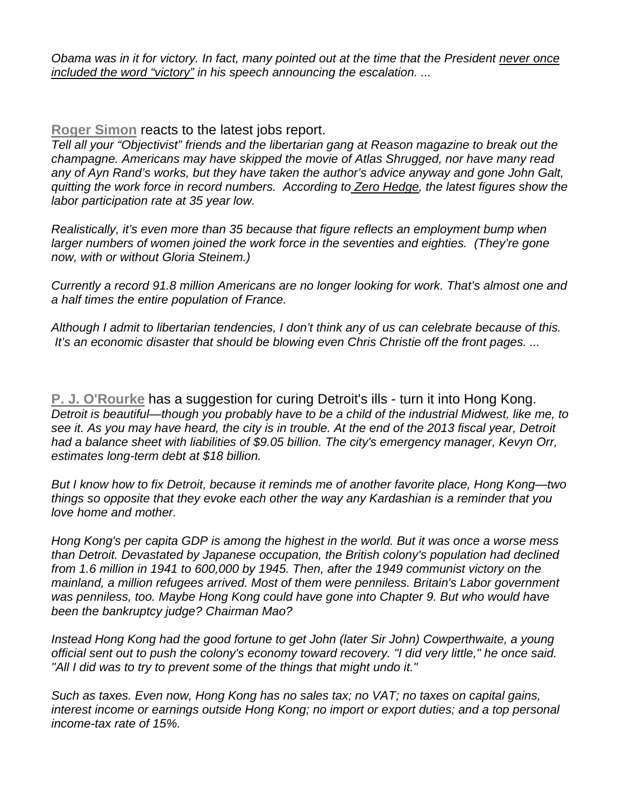*Obama was in it for victory. In fact, many pointed out at the time that the President never once included the word "victory" in his speech announcing the escalation. ...*

## **Roger Simon** reacts to the latest jobs report.

*Tell all your "Objectivist" friends and the libertarian gang at Reason magazine to break out the champagne. Americans may have skipped the movie of Atlas Shrugged, nor have many read any of Ayn Rand's works, but they have taken the author's advice anyway and gone John Galt, quitting the work force in record numbers. According to Zero Hedge, the latest figures show the labor participation rate at 35 year low.*

*Realistically, it's even more than 35 because that figure reflects an employment bump when larger numbers of women joined the work force in the seventies and eighties. (They're gone now, with or without Gloria Steinem.)*

*Currently a record 91.8 million Americans are no longer looking for work. That's almost one and a half times the entire population of France.*

*Although I admit to libertarian tendencies, I don't think any of us can celebrate because of this. It's an economic disaster that should be blowing even Chris Christie off the front pages. ...*

**P. J. O'Rourke** has a suggestion for curing Detroit's ills - turn it into Hong Kong. *Detroit is beautiful—though you probably have to be a child of the industrial Midwest, like me, to*  see it. As you may have heard, the city is in trouble. At the end of the 2013 fiscal year, Detroit *had a balance sheet with liabilities of \$9.05 billion. The city's emergency manager, Kevyn Orr, estimates long-term debt at \$18 billion.* 

*But I know how to fix Detroit, because it reminds me of another favorite place, Hong Kong—two things so opposite that they evoke each other the way any Kardashian is a reminder that you love home and mother.*

*Hong Kong's per capita GDP is among the highest in the world. But it was once a worse mess than Detroit. Devastated by Japanese occupation, the British colony's population had declined from 1.6 million in 1941 to 600,000 by 1945. Then, after the 1949 communist victory on the mainland, a million refugees arrived. Most of them were penniless. Britain's Labor government was penniless, too. Maybe Hong Kong could have gone into Chapter 9. But who would have been the bankruptcy judge? Chairman Mao?*

*Instead Hong Kong had the good fortune to get John (later Sir John) Cowperthwaite, a young official sent out to push the colony's economy toward recovery. "I did very little," he once said. "All I did was to try to prevent some of the things that might undo it."*

*Such as taxes. Even now, Hong Kong has no sales tax; no VAT; no taxes on capital gains, interest income or earnings outside Hong Kong; no import or export duties; and a top personal income-tax rate of 15%.*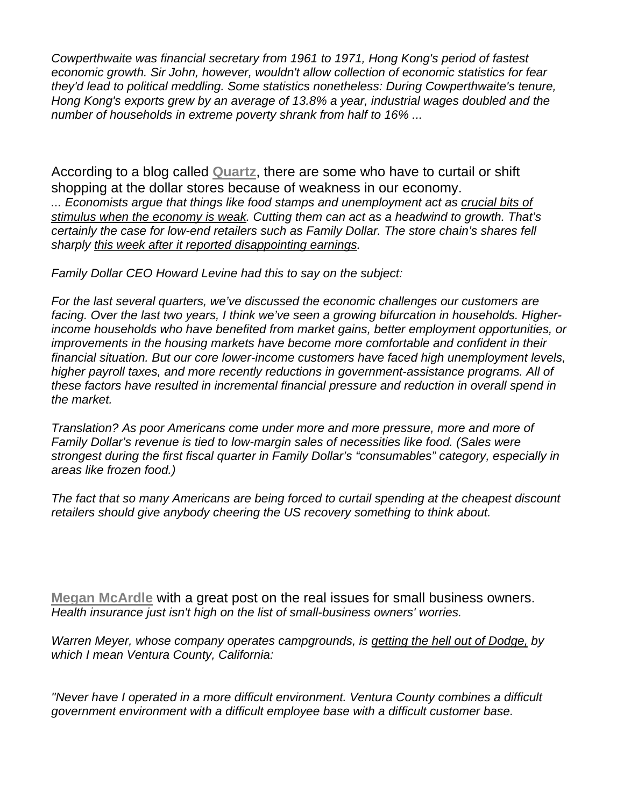*Cowperthwaite was financial secretary from 1961 to 1971, Hong Kong's period of fastest economic growth. Sir John, however, wouldn't allow collection of economic statistics for fear they'd lead to political meddling. Some statistics nonetheless: During Cowperthwaite's tenure, Hong Kong's exports grew by an average of 13.8% a year, industrial wages doubled and the number of households in extreme poverty shrank from half to 16% ...*

According to a blog called **Quartz**, there are some who have to curtail or shift shopping at the dollar stores because of weakness in our economy. *... Economists argue that things like food stamps and unemployment act as crucial bits of stimulus when the economy is weak. Cutting them can act as a headwind to growth. That's certainly the case for low-end retailers such as Family Dollar. The store chain's shares fell sharply this week after it reported disappointing earnings.* 

*Family Dollar CEO Howard Levine had this to say on the subject:*

*For the last several quarters, we've discussed the economic challenges our customers are facing. Over the last two years, I think we've seen a growing bifurcation in households. Higherincome households who have benefited from market gains, better employment opportunities, or improvements in the housing markets have become more comfortable and confident in their financial situation. But our core lower-income customers have faced high unemployment levels, higher payroll taxes, and more recently reductions in government-assistance programs. All of these factors have resulted in incremental financial pressure and reduction in overall spend in the market.*

*Translation? As poor Americans come under more and more pressure, more and more of Family Dollar's revenue is tied to low-margin sales of necessities like food. (Sales were strongest during the first fiscal quarter in Family Dollar's "consumables" category, especially in areas like frozen food.)*

*The fact that so many Americans are being forced to curtail spending at the cheapest discount retailers should give anybody cheering the US recovery something to think about.*

**Megan McArdle** with a great post on the real issues for small business owners. *Health insurance just isn't high on the list of small-business owners' worries.* 

*Warren Meyer, whose company operates campgrounds, is getting the hell out of Dodge, by which I mean Ventura County, California:*

*"Never have I operated in a more difficult environment. Ventura County combines a difficult government environment with a difficult employee base with a difficult customer base.*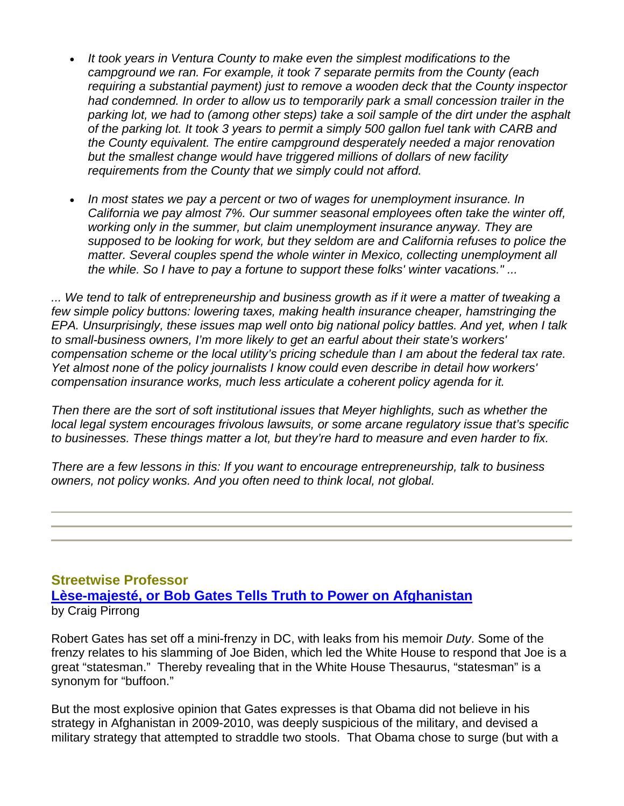- *It took years in Ventura County to make even the simplest modifications to the campground we ran. For example, it took 7 separate permits from the County (each requiring a substantial payment) just to remove a wooden deck that the County inspector had condemned. In order to allow us to temporarily park a small concession trailer in the parking lot, we had to (among other steps) take a soil sample of the dirt under the asphalt of the parking lot. It took 3 years to permit a simply 500 gallon fuel tank with CARB and the County equivalent. The entire campground desperately needed a major renovation but the smallest change would have triggered millions of dollars of new facility requirements from the County that we simply could not afford.*
- *In most states we pay a percent or two of wages for unemployment insurance. In California we pay almost 7%. Our summer seasonal employees often take the winter off, working only in the summer, but claim unemployment insurance anyway. They are supposed to be looking for work, but they seldom are and California refuses to police the matter. Several couples spend the whole winter in Mexico, collecting unemployment all the while. So I have to pay a fortune to support these folks' winter vacations." ...*

*... We tend to talk of entrepreneurship and business growth as if it were a matter of tweaking a few simple policy buttons: lowering taxes, making health insurance cheaper, hamstringing the EPA. Unsurprisingly, these issues map well onto big national policy battles. And yet, when I talk to small-business owners, I'm more likely to get an earful about their state's workers' compensation scheme or the local utility's pricing schedule than I am about the federal tax rate. Yet almost none of the policy journalists I know could even describe in detail how workers' compensation insurance works, much less articulate a coherent policy agenda for it.*

*Then there are the sort of soft institutional issues that Meyer highlights, such as whether the local legal system encourages frivolous lawsuits, or some arcane regulatory issue that's specific to businesses. These things matter a lot, but they're hard to measure and even harder to fix.*

*There are a few lessons in this: If you want to encourage entrepreneurship, talk to business owners, not policy wonks. And you often need to think local, not global.*

## **Streetwise Professor Lèse-majesté, or Bob Gates Tells Truth to Power on Afghanistan** by Craig Pirrong

Robert Gates has set off a mini-frenzy in DC, with leaks from his memoir *Duty*. Some of the frenzy relates to his slamming of Joe Biden, which led the White House to respond that Joe is a great "statesman." Thereby revealing that in the White House Thesaurus, "statesman" is a synonym for "buffoon."

But the most explosive opinion that Gates expresses is that Obama did not believe in his strategy in Afghanistan in 2009-2010, was deeply suspicious of the military, and devised a military strategy that attempted to straddle two stools. That Obama chose to surge (but with a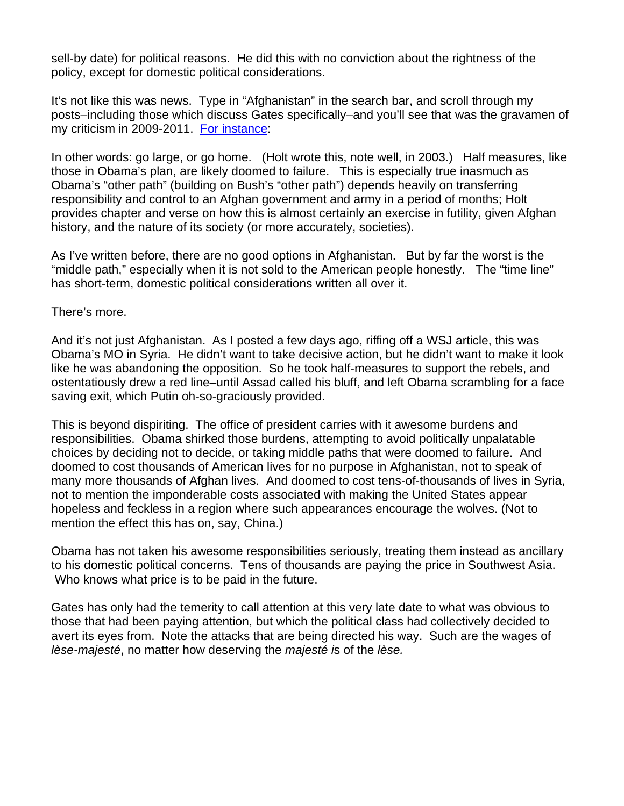sell-by date) for political reasons. He did this with no conviction about the rightness of the policy, except for domestic political considerations.

It's not like this was news. Type in "Afghanistan" in the search bar, and scroll through my posts–including those which discuss Gates specifically–and you'll see that was the gravamen of my criticism in 2009-2011. For instance:

In other words: go large, or go home. (Holt wrote this, note well, in 2003.) Half measures, like those in Obama's plan, are likely doomed to failure. This is especially true inasmuch as Obama's "other path" (building on Bush's "other path") depends heavily on transferring responsibility and control to an Afghan government and army in a period of months; Holt provides chapter and verse on how this is almost certainly an exercise in futility, given Afghan history, and the nature of its society (or more accurately, societies).

As I've written before, there are no good options in Afghanistan. But by far the worst is the "middle path," especially when it is not sold to the American people honestly. The "time line" has short-term, domestic political considerations written all over it.

There's more.

And it's not just Afghanistan. As I posted a few days ago, riffing off a WSJ article, this was Obama's MO in Syria. He didn't want to take decisive action, but he didn't want to make it look like he was abandoning the opposition. So he took half-measures to support the rebels, and ostentatiously drew a red line–until Assad called his bluff, and left Obama scrambling for a face saving exit, which Putin oh-so-graciously provided.

This is beyond dispiriting. The office of president carries with it awesome burdens and responsibilities. Obama shirked those burdens, attempting to avoid politically unpalatable choices by deciding not to decide, or taking middle paths that were doomed to failure. And doomed to cost thousands of American lives for no purpose in Afghanistan, not to speak of many more thousands of Afghan lives. And doomed to cost tens-of-thousands of lives in Syria, not to mention the imponderable costs associated with making the United States appear hopeless and feckless in a region where such appearances encourage the wolves. (Not to mention the effect this has on, say, China.)

Obama has not taken his awesome responsibilities seriously, treating them instead as ancillary to his domestic political concerns. Tens of thousands are paying the price in Southwest Asia. Who knows what price is to be paid in the future.

Gates has only had the temerity to call attention at this very late date to what was obvious to those that had been paying attention, but which the political class had collectively decided to avert its eyes from. Note the attacks that are being directed his way. Such are the wages of *lèse-majesté*, no matter how deserving the *majesté i*s of the *lèse.*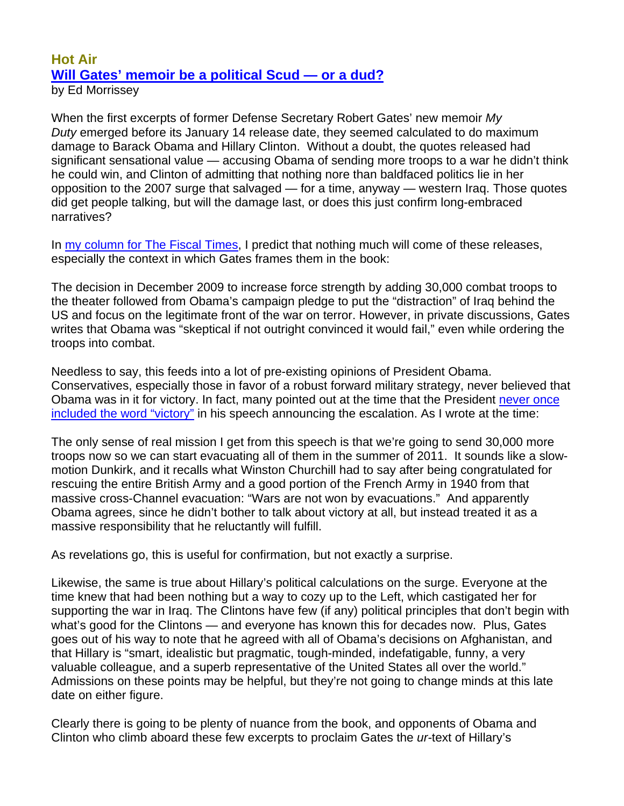# **Hot Air Will Gates' memoir be a political Scud — or a dud?**

by Ed Morrissey

When the first excerpts of former Defense Secretary Robert Gates' new memoir *My Duty* emerged before its January 14 release date, they seemed calculated to do maximum damage to Barack Obama and Hillary Clinton. Without a doubt, the quotes released had significant sensational value — accusing Obama of sending more troops to a war he didn't think he could win, and Clinton of admitting that nothing nore than baldfaced politics lie in her opposition to the 2007 surge that salvaged — for a time, anyway — western Iraq. Those quotes did get people talking, but will the damage last, or does this just confirm long-embraced narratives?

In my column for The Fiscal Times, I predict that nothing much will come of these releases, especially the context in which Gates frames them in the book:

The decision in December 2009 to increase force strength by adding 30,000 combat troops to the theater followed from Obama's campaign pledge to put the "distraction" of Iraq behind the US and focus on the legitimate front of the war on terror. However, in private discussions, Gates writes that Obama was "skeptical if not outright convinced it would fail," even while ordering the troops into combat.

Needless to say, this feeds into a lot of pre-existing opinions of President Obama. Conservatives, especially those in favor of a robust forward military strategy, never believed that Obama was in it for victory. In fact, many pointed out at the time that the President never once included the word "victory" in his speech announcing the escalation. As I wrote at the time:

The only sense of real mission I get from this speech is that we're going to send 30,000 more troops now so we can start evacuating all of them in the summer of 2011. It sounds like a slowmotion Dunkirk, and it recalls what Winston Churchill had to say after being congratulated for rescuing the entire British Army and a good portion of the French Army in 1940 from that massive cross-Channel evacuation: "Wars are not won by evacuations." And apparently Obama agrees, since he didn't bother to talk about victory at all, but instead treated it as a massive responsibility that he reluctantly will fulfill.

As revelations go, this is useful for confirmation, but not exactly a surprise.

Likewise, the same is true about Hillary's political calculations on the surge. Everyone at the time knew that had been nothing but a way to cozy up to the Left, which castigated her for supporting the war in Irag. The Clintons have few (if any) political principles that don't begin with what's good for the Clintons — and everyone has known this for decades now. Plus, Gates goes out of his way to note that he agreed with all of Obama's decisions on Afghanistan, and that Hillary is "smart, idealistic but pragmatic, tough-minded, indefatigable, funny, a very valuable colleague, and a superb representative of the United States all over the world." Admissions on these points may be helpful, but they're not going to change minds at this late date on either figure.

Clearly there is going to be plenty of nuance from the book, and opponents of Obama and Clinton who climb aboard these few excerpts to proclaim Gates the *ur-*text of Hillary's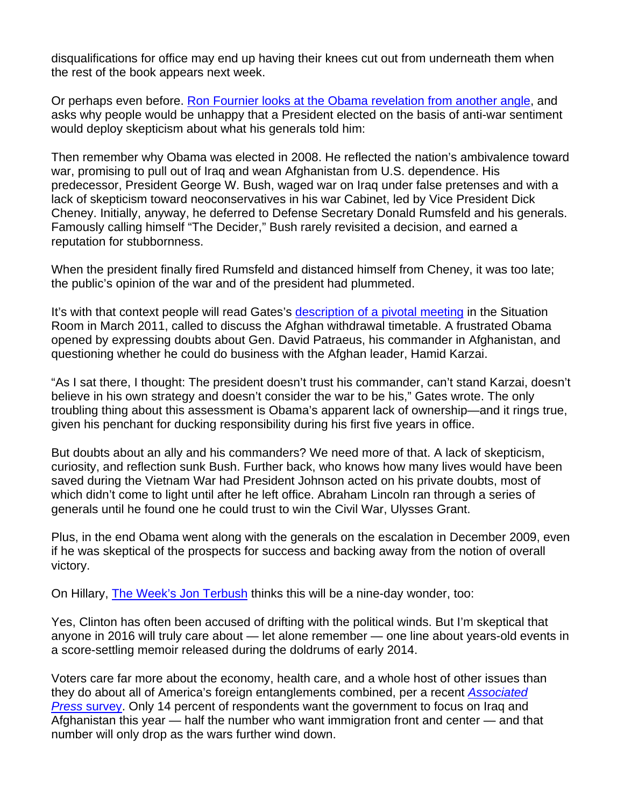disqualifications for office may end up having their knees cut out from underneath them when the rest of the book appears next week.

Or perhaps even before. Ron Fournier looks at the Obama revelation from another angle, and asks why people would be unhappy that a President elected on the basis of anti-war sentiment would deploy skepticism about what his generals told him:

Then remember why Obama was elected in 2008. He reflected the nation's ambivalence toward war, promising to pull out of Iraq and wean Afghanistan from U.S. dependence. His predecessor, President George W. Bush, waged war on Iraq under false pretenses and with a lack of skepticism toward neoconservatives in his war Cabinet, led by Vice President Dick Cheney. Initially, anyway, he deferred to Defense Secretary Donald Rumsfeld and his generals. Famously calling himself "The Decider," Bush rarely revisited a decision, and earned a reputation for stubbornness.

When the president finally fired Rumsfeld and distanced himself from Cheney, it was too late; the public's opinion of the war and of the president had plummeted.

It's with that context people will read Gates's description of a pivotal meeting in the Situation Room in March 2011, called to discuss the Afghan withdrawal timetable. A frustrated Obama opened by expressing doubts about Gen. David Patraeus, his commander in Afghanistan, and questioning whether he could do business with the Afghan leader, Hamid Karzai.

"As I sat there, I thought: The president doesn't trust his commander, can't stand Karzai, doesn't believe in his own strategy and doesn't consider the war to be his," Gates wrote. The only troubling thing about this assessment is Obama's apparent lack of ownership—and it rings true, given his penchant for ducking responsibility during his first five years in office.

But doubts about an ally and his commanders? We need more of that. A lack of skepticism, curiosity, and reflection sunk Bush. Further back, who knows how many lives would have been saved during the Vietnam War had President Johnson acted on his private doubts, most of which didn't come to light until after he left office. Abraham Lincoln ran through a series of generals until he found one he could trust to win the Civil War, Ulysses Grant.

Plus, in the end Obama went along with the generals on the escalation in December 2009, even if he was skeptical of the prospects for success and backing away from the notion of overall victory.

On Hillary, The Week's Jon Terbush thinks this will be a nine-day wonder, too:

Yes, Clinton has often been accused of drifting with the political winds. But I'm skeptical that anyone in 2016 will truly care about — let alone remember — one line about years-old events in a score-settling memoir released during the doldrums of early 2014.

Voters care far more about the economy, health care, and a whole host of other issues than they do about all of America's foreign entanglements combined, per a recent *Associated Press* survey. Only 14 percent of respondents want the government to focus on Iraq and Afghanistan this year — half the number who want immigration front and center — and that number will only drop as the wars further wind down.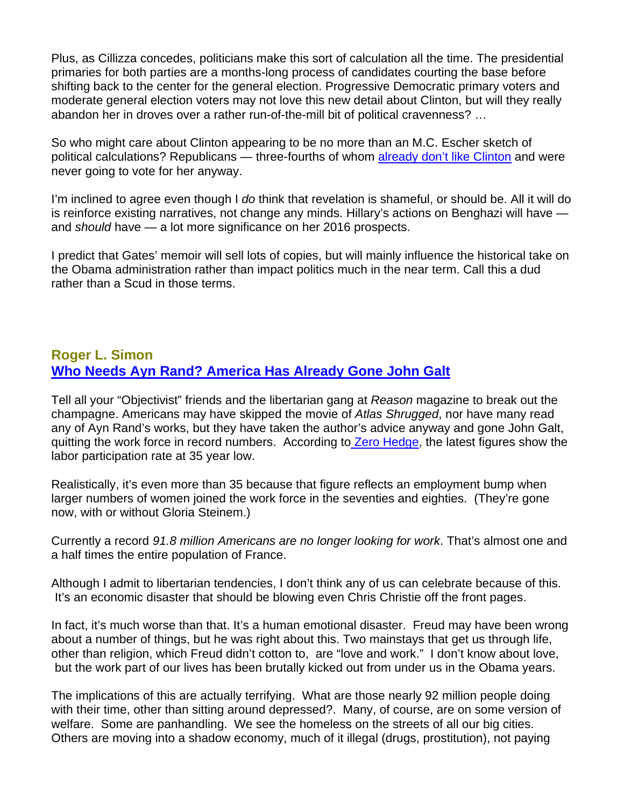Plus, as Cillizza concedes, politicians make this sort of calculation all the time. The presidential primaries for both parties are a months-long process of candidates courting the base before shifting back to the center for the general election. Progressive Democratic primary voters and moderate general election voters may not love this new detail about Clinton, but will they really abandon her in droves over a rather run-of-the-mill bit of political cravenness? …

So who might care about Clinton appearing to be no more than an M.C. Escher sketch of political calculations? Republicans — three-fourths of whom already don't like Clinton and were never going to vote for her anyway.

I'm inclined to agree even though I *do* think that revelation is shameful, or should be. All it will do is reinforce existing narratives, not change any minds. Hillary's actions on Benghazi will have and *should* have — a lot more significance on her 2016 prospects.

I predict that Gates' memoir will sell lots of copies, but will mainly influence the historical take on the Obama administration rather than impact politics much in the near term. Call this a dud rather than a Scud in those terms.

# **Roger L. Simon Who Needs Ayn Rand? America Has Already Gone John Galt**

Tell all your "Objectivist" friends and the libertarian gang at *Reason* magazine to break out the champagne. Americans may have skipped the movie of *Atlas Shrugged*, nor have many read any of Ayn Rand's works, but they have taken the author's advice anyway and gone John Galt, quitting the work force in record numbers. According to Zero Hedge, the latest figures show the labor participation rate at 35 year low.

Realistically, it's even more than 35 because that figure reflects an employment bump when larger numbers of women joined the work force in the seventies and eighties. (They're gone now, with or without Gloria Steinem.)

Currently a record *91.8 million Americans are no longer looking for work*. That's almost one and a half times the entire population of France.

Although I admit to libertarian tendencies, I don't think any of us can celebrate because of this. It's an economic disaster that should be blowing even Chris Christie off the front pages.

In fact, it's much worse than that. It's a human emotional disaster. Freud may have been wrong about a number of things, but he was right about this. Two mainstays that get us through life, other than religion, which Freud didn't cotton to, are "love and work." I don't know about love, but the work part of our lives has been brutally kicked out from under us in the Obama years.

The implications of this are actually terrifying. What are those nearly 92 million people doing with their time, other than sitting around depressed?. Many, of course, are on some version of welfare. Some are panhandling. We see the homeless on the streets of all our big cities. Others are moving into a shadow economy, much of it illegal (drugs, prostitution), not paying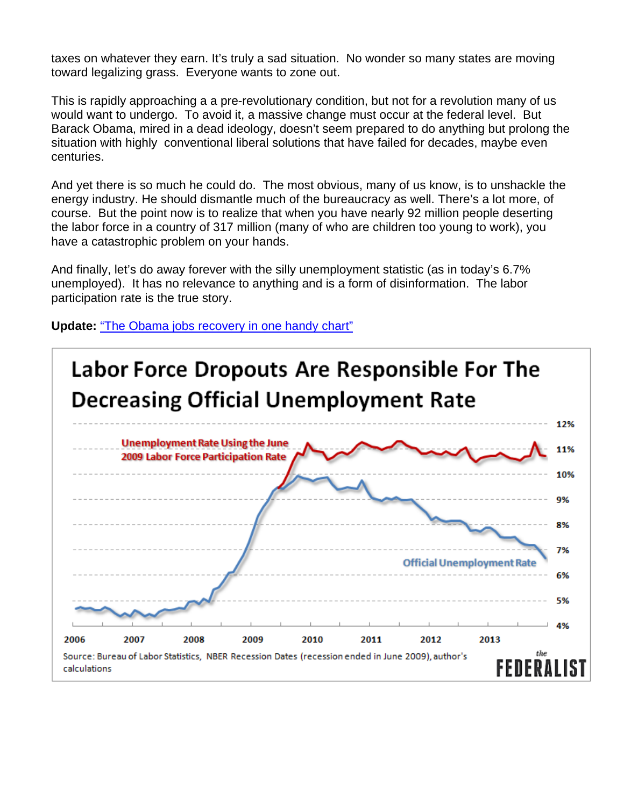taxes on whatever they earn. It's truly a sad situation. No wonder so many states are moving toward legalizing grass. Everyone wants to zone out.

This is rapidly approaching a a pre-revolutionary condition, but not for a revolution many of us would want to undergo. To avoid it, a massive change must occur at the federal level. But Barack Obama, mired in a dead ideology, doesn't seem prepared to do anything but prolong the situation with highly conventional liberal solutions that have failed for decades, maybe even centuries.

And yet there is so much he could do. The most obvious, many of us know, is to unshackle the energy industry. He should dismantle much of the bureaucracy as well. There's a lot more, of course. But the point now is to realize that when you have nearly 92 million people deserting the labor force in a country of 317 million (many of who are children too young to work), you have a catastrophic problem on your hands.

And finally, let's do away forever with the silly unemployment statistic (as in today's 6.7% unemployed). It has no relevance to anything and is a form of disinformation. The labor participation rate is the true story.

**Update:** "The Obama jobs recovery in one handy chart"

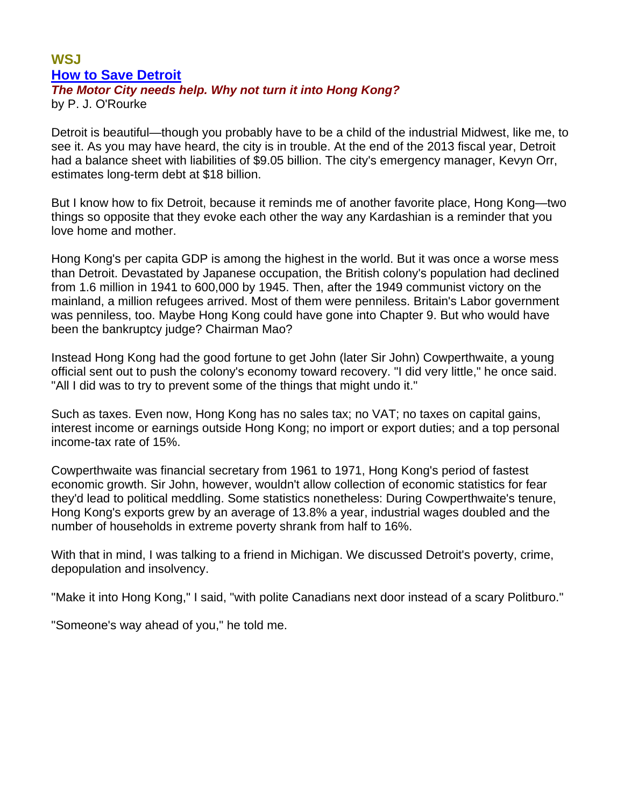### WS.J **How to Save Detroit** *The Motor City needs help. Why not turn it into Hong Kong?* by P. J. O'Rourke

Detroit is beautiful—though you probably have to be a child of the industrial Midwest, like me, to see it. As you may have heard, the city is in trouble. At the end of the 2013 fiscal year, Detroit had a balance sheet with liabilities of \$9.05 billion. The city's emergency manager, Kevyn Orr, estimates long-term debt at \$18 billion.

But I know how to fix Detroit, because it reminds me of another favorite place, Hong Kong—two things so opposite that they evoke each other the way any Kardashian is a reminder that you love home and mother.

Hong Kong's per capita GDP is among the highest in the world. But it was once a worse mess than Detroit. Devastated by Japanese occupation, the British colony's population had declined from 1.6 million in 1941 to 600,000 by 1945. Then, after the 1949 communist victory on the mainland, a million refugees arrived. Most of them were penniless. Britain's Labor government was penniless, too. Maybe Hong Kong could have gone into Chapter 9. But who would have been the bankruptcy judge? Chairman Mao?

Instead Hong Kong had the good fortune to get John (later Sir John) Cowperthwaite, a young official sent out to push the colony's economy toward recovery. "I did very little," he once said. "All I did was to try to prevent some of the things that might undo it."

Such as taxes. Even now, Hong Kong has no sales tax; no VAT; no taxes on capital gains, interest income or earnings outside Hong Kong; no import or export duties; and a top personal income-tax rate of 15%.

Cowperthwaite was financial secretary from 1961 to 1971, Hong Kong's period of fastest economic growth. Sir John, however, wouldn't allow collection of economic statistics for fear they'd lead to political meddling. Some statistics nonetheless: During Cowperthwaite's tenure, Hong Kong's exports grew by an average of 13.8% a year, industrial wages doubled and the number of households in extreme poverty shrank from half to 16%.

With that in mind, I was talking to a friend in Michigan. We discussed Detroit's poverty, crime, depopulation and insolvency.

"Make it into Hong Kong," I said, "with polite Canadians next door instead of a scary Politburo."

"Someone's way ahead of you," he told me.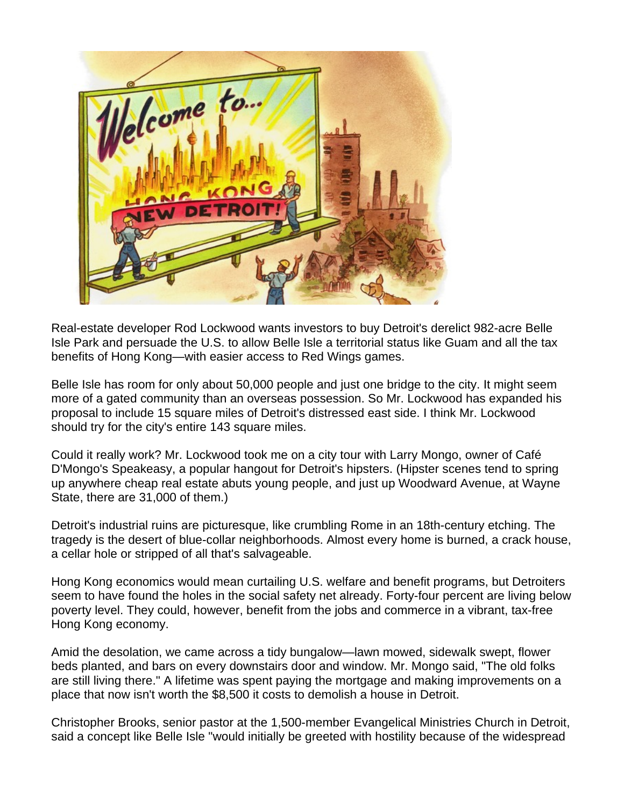

Real-estate developer Rod Lockwood wants investors to buy Detroit's derelict 982-acre Belle Isle Park and persuade the U.S. to allow Belle Isle a territorial status like Guam and all the tax benefits of Hong Kong—with easier access to Red Wings games.

Belle Isle has room for only about 50,000 people and just one bridge to the city. It might seem more of a gated community than an overseas possession. So Mr. Lockwood has expanded his proposal to include 15 square miles of Detroit's distressed east side. I think Mr. Lockwood should try for the city's entire 143 square miles.

Could it really work? Mr. Lockwood took me on a city tour with Larry Mongo, owner of Café D'Mongo's Speakeasy, a popular hangout for Detroit's hipsters. (Hipster scenes tend to spring up anywhere cheap real estate abuts young people, and just up Woodward Avenue, at Wayne State, there are 31,000 of them.)

Detroit's industrial ruins are picturesque, like crumbling Rome in an 18th-century etching. The tragedy is the desert of blue-collar neighborhoods. Almost every home is burned, a crack house, a cellar hole or stripped of all that's salvageable.

Hong Kong economics would mean curtailing U.S. welfare and benefit programs, but Detroiters seem to have found the holes in the social safety net already. Forty-four percent are living below poverty level. They could, however, benefit from the jobs and commerce in a vibrant, tax-free Hong Kong economy.

Amid the desolation, we came across a tidy bungalow—lawn mowed, sidewalk swept, flower beds planted, and bars on every downstairs door and window. Mr. Mongo said, "The old folks are still living there." A lifetime was spent paying the mortgage and making improvements on a place that now isn't worth the \$8,500 it costs to demolish a house in Detroit.

Christopher Brooks, senior pastor at the 1,500-member Evangelical Ministries Church in Detroit, said a concept like Belle Isle "would initially be greeted with hostility because of the widespread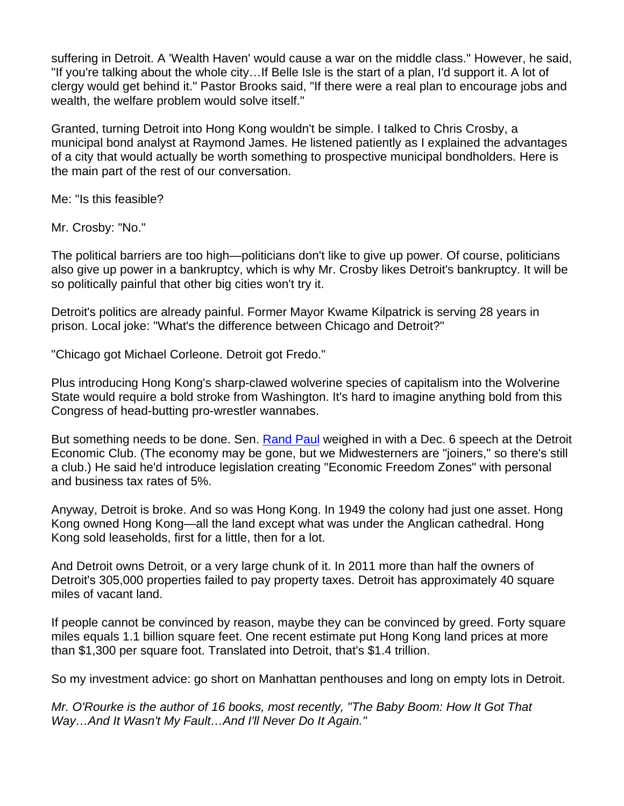suffering in Detroit. A 'Wealth Haven' would cause a war on the middle class." However, he said, "If you're talking about the whole city…If Belle Isle is the start of a plan, I'd support it. A lot of clergy would get behind it." Pastor Brooks said, "If there were a real plan to encourage jobs and wealth, the welfare problem would solve itself."

Granted, turning Detroit into Hong Kong wouldn't be simple. I talked to Chris Crosby, a municipal bond analyst at Raymond James. He listened patiently as I explained the advantages of a city that would actually be worth something to prospective municipal bondholders. Here is the main part of the rest of our conversation.

Me: "Is this feasible?

Mr. Crosby: "No."

The political barriers are too high—politicians don't like to give up power. Of course, politicians also give up power in a bankruptcy, which is why Mr. Crosby likes Detroit's bankruptcy. It will be so politically painful that other big cities won't try it.

Detroit's politics are already painful. Former Mayor Kwame Kilpatrick is serving 28 years in prison. Local joke: "What's the difference between Chicago and Detroit?"

"Chicago got Michael Corleone. Detroit got Fredo."

Plus introducing Hong Kong's sharp-clawed wolverine species of capitalism into the Wolverine State would require a bold stroke from Washington. It's hard to imagine anything bold from this Congress of head-butting pro-wrestler wannabes.

But something needs to be done. Sen. Rand Paul weighed in with a Dec. 6 speech at the Detroit Economic Club. (The economy may be gone, but we Midwesterners are "joiners," so there's still a club.) He said he'd introduce legislation creating "Economic Freedom Zones" with personal and business tax rates of 5%.

Anyway, Detroit is broke. And so was Hong Kong. In 1949 the colony had just one asset. Hong Kong owned Hong Kong—all the land except what was under the Anglican cathedral. Hong Kong sold leaseholds, first for a little, then for a lot.

And Detroit owns Detroit, or a very large chunk of it. In 2011 more than half the owners of Detroit's 305,000 properties failed to pay property taxes. Detroit has approximately 40 square miles of vacant land.

If people cannot be convinced by reason, maybe they can be convinced by greed. Forty square miles equals 1.1 billion square feet. One recent estimate put Hong Kong land prices at more than \$1,300 per square foot. Translated into Detroit, that's \$1.4 trillion.

So my investment advice: go short on Manhattan penthouses and long on empty lots in Detroit.

*Mr. O'Rourke is the author of 16 books, most recently, "The Baby Boom: How It Got That Way…And It Wasn't My Fault…And I'll Never Do It Again."*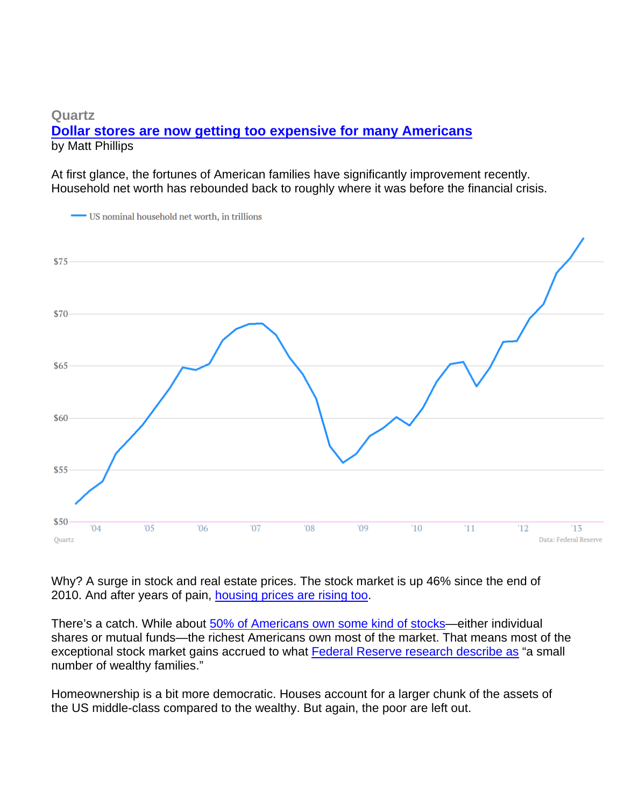### **Quartz Dollar stores are now getting too expensive for many Americans** by Matt Phillips

At first glance, the fortunes of American families have significantly improvement recently. Household net worth has rebounded back to roughly where it was before the financial crisis.



Why? A surge in stock and real estate prices. The stock market is up 46% since the end of 2010. And after years of pain, housing prices are rising too.

There's a catch. While about 50% of Americans own some kind of stocks—either individual shares or mutual funds—the richest Americans own most of the market. That means most of the exceptional stock market gains accrued to what Federal Reserve research describe as "a small number of wealthy families."

Homeownership is a bit more democratic. Houses account for a larger chunk of the assets of the US middle-class compared to the wealthy. But again, the poor are left out.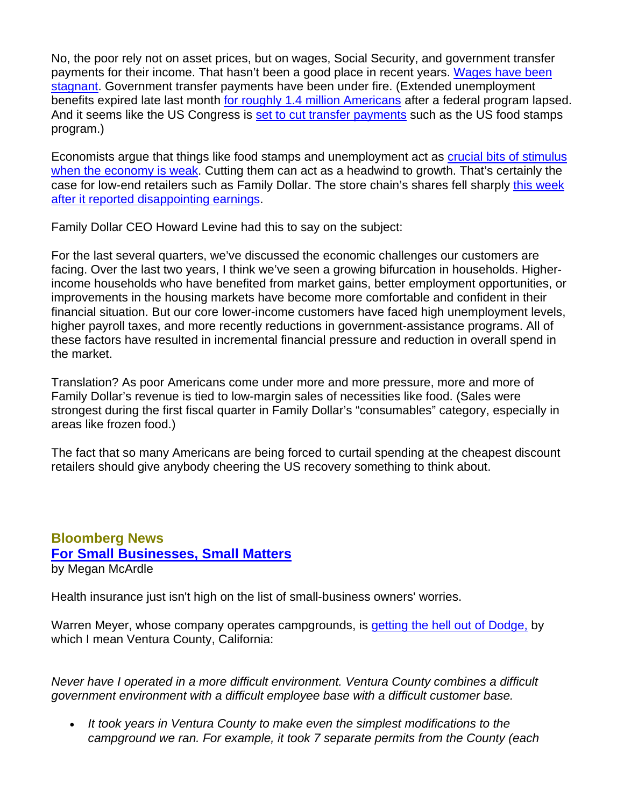No, the poor rely not on asset prices, but on wages, Social Security, and government transfer payments for their income. That hasn't been a good place in recent years. Wages have been stagnant. Government transfer payments have been under fire. (Extended unemployment benefits expired late last month for roughly 1.4 million Americans after a federal program lapsed. And it seems like the US Congress is set to cut transfer payments such as the US food stamps program.)

Economists argue that things like food stamps and unemployment act as crucial bits of stimulus when the economy is weak. Cutting them can act as a headwind to growth. That's certainly the case for low-end retailers such as Family Dollar. The store chain's shares fell sharply this week after it reported disappointing earnings.

Family Dollar CEO Howard Levine had this to say on the subject:

For the last several quarters, we've discussed the economic challenges our customers are facing. Over the last two years, I think we've seen a growing bifurcation in households. Higherincome households who have benefited from market gains, better employment opportunities, or improvements in the housing markets have become more comfortable and confident in their financial situation. But our core lower-income customers have faced high unemployment levels, higher payroll taxes, and more recently reductions in government-assistance programs. All of these factors have resulted in incremental financial pressure and reduction in overall spend in the market.

Translation? As poor Americans come under more and more pressure, more and more of Family Dollar's revenue is tied to low-margin sales of necessities like food. (Sales were strongest during the first fiscal quarter in Family Dollar's "consumables" category, especially in areas like frozen food.)

The fact that so many Americans are being forced to curtail spending at the cheapest discount retailers should give anybody cheering the US recovery something to think about.

# **Bloomberg News For Small Businesses, Small Matters** by Megan McArdle

Health insurance just isn't high on the list of small-business owners' worries.

Warren Meyer, whose company operates campgrounds, is getting the hell out of Dodge, by which I mean Ventura County, California:

*Never have I operated in a more difficult environment. Ventura County combines a difficult government environment with a difficult employee base with a difficult customer base.*

 *It took years in Ventura County to make even the simplest modifications to the campground we ran. For example, it took 7 separate permits from the County (each*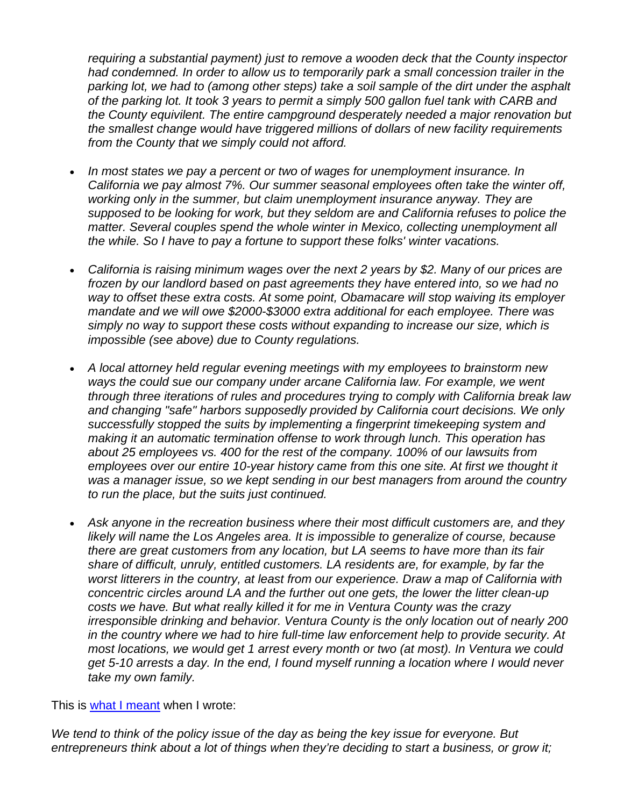*requiring a substantial payment) just to remove a wooden deck that the County inspector had condemned. In order to allow us to temporarily park a small concession trailer in the parking lot, we had to (among other steps) take a soil sample of the dirt under the asphalt of the parking lot. It took 3 years to permit a simply 500 gallon fuel tank with CARB and the County equivilent. The entire campground desperately needed a major renovation but the smallest change would have triggered millions of dollars of new facility requirements from the County that we simply could not afford.*

- *In most states we pay a percent or two of wages for unemployment insurance. In California we pay almost 7%. Our summer seasonal employees often take the winter off, working only in the summer, but claim unemployment insurance anyway. They are supposed to be looking for work, but they seldom are and California refuses to police the matter. Several couples spend the whole winter in Mexico, collecting unemployment all the while. So I have to pay a fortune to support these folks' winter vacations.*
- *California is raising minimum wages over the next 2 years by \$2. Many of our prices are frozen by our landlord based on past agreements they have entered into, so we had no way to offset these extra costs. At some point, Obamacare will stop waiving its employer mandate and we will owe \$2000-\$3000 extra additional for each employee. There was simply no way to support these costs without expanding to increase our size, which is impossible (see above) due to County regulations.*
- *A local attorney held regular evening meetings with my employees to brainstorm new ways the could sue our company under arcane California law. For example, we went through three iterations of rules and procedures trying to comply with California break law and changing "safe" harbors supposedly provided by California court decisions. We only successfully stopped the suits by implementing a fingerprint timekeeping system and making it an automatic termination offense to work through lunch. This operation has about 25 employees vs. 400 for the rest of the company. 100% of our lawsuits from employees over our entire 10-year history came from this one site. At first we thought it was a manager issue, so we kept sending in our best managers from around the country to run the place, but the suits just continued.*
- *Ask anyone in the recreation business where their most difficult customers are, and they likely will name the Los Angeles area. It is impossible to generalize of course, because there are great customers from any location, but LA seems to have more than its fair share of difficult, unruly, entitled customers. LA residents are, for example, by far the worst litterers in the country, at least from our experience. Draw a map of California with concentric circles around LA and the further out one gets, the lower the litter clean-up costs we have. But what really killed it for me in Ventura County was the crazy irresponsible drinking and behavior. Ventura County is the only location out of nearly 200 in the country where we had to hire full-time law enforcement help to provide security. At most locations, we would get 1 arrest every month or two (at most). In Ventura we could get 5-10 arrests a day. In the end, I found myself running a location where I would never take my own family.*

This is what I meant when I wrote:

*We tend to think of the policy issue of the day as being the key issue for everyone. But entrepreneurs think about a lot of things when they're deciding to start a business, or grow it;*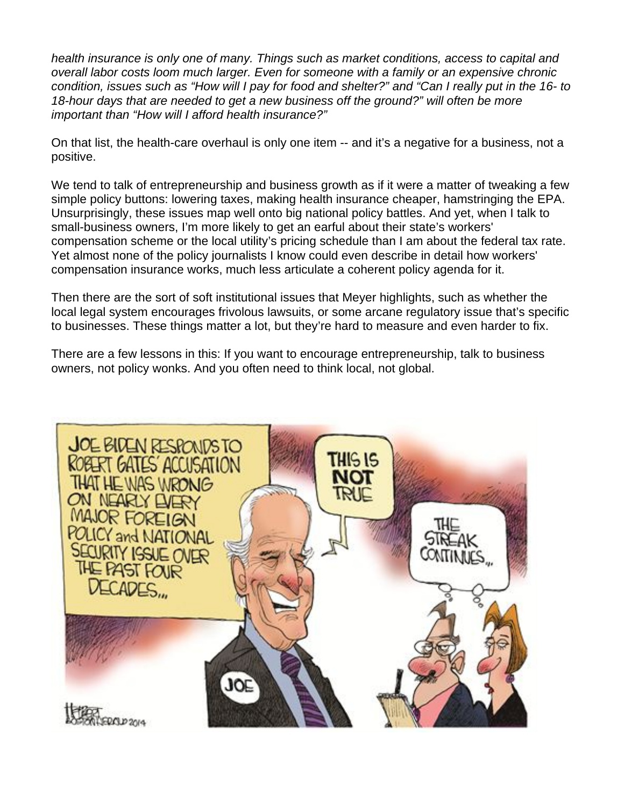*health insurance is only one of many. Things such as market conditions, access to capital and overall labor costs loom much larger. Even for someone with a family or an expensive chronic condition, issues such as "How will I pay for food and shelter?" and "Can I really put in the 16- to 18-hour days that are needed to get a new business off the ground?" will often be more important than "How will I afford health insurance?"*

On that list, the health-care overhaul is only one item -- and it's a negative for a business, not a positive.

We tend to talk of entrepreneurship and business growth as if it were a matter of tweaking a few simple policy buttons: lowering taxes, making health insurance cheaper, hamstringing the EPA. Unsurprisingly, these issues map well onto big national policy battles. And yet, when I talk to small-business owners, I'm more likely to get an earful about their state's workers' compensation scheme or the local utility's pricing schedule than I am about the federal tax rate. Yet almost none of the policy journalists I know could even describe in detail how workers' compensation insurance works, much less articulate a coherent policy agenda for it.

Then there are the sort of soft institutional issues that Meyer highlights, such as whether the local legal system encourages frivolous lawsuits, or some arcane regulatory issue that's specific to businesses. These things matter a lot, but they're hard to measure and even harder to fix.

There are a few lessons in this: If you want to encourage entrepreneurship, talk to business owners, not policy wonks. And you often need to think local, not global.

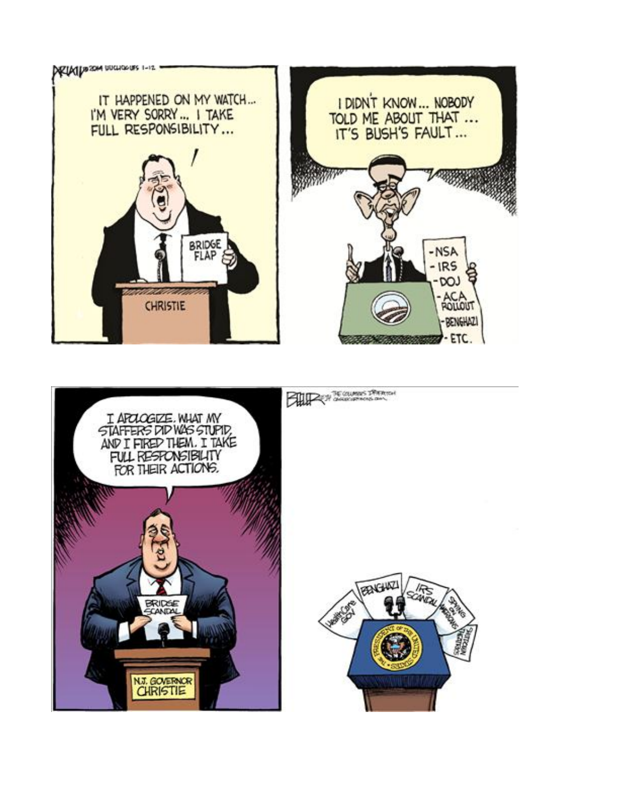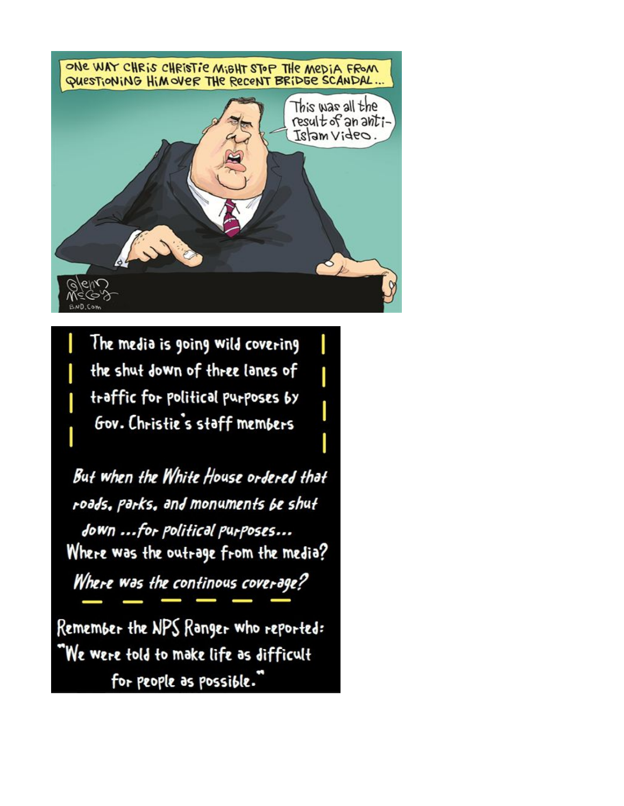

The media is going wild covering the shut down of three lanes of traffic for political purposes by Gov. Christie's staff members

But when the White House ordered that roads, parks, and monuments be shut Jown ... for political purposes... Where was the outrage from the media? Where was the continous coverage?

Remember the NPS Ranger who reported: "We were told to make life as difficult for people as possible.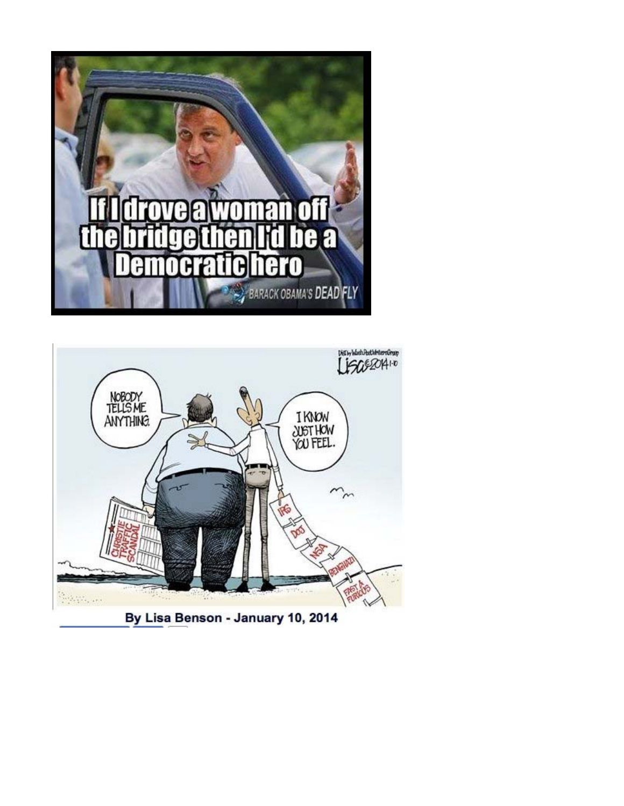